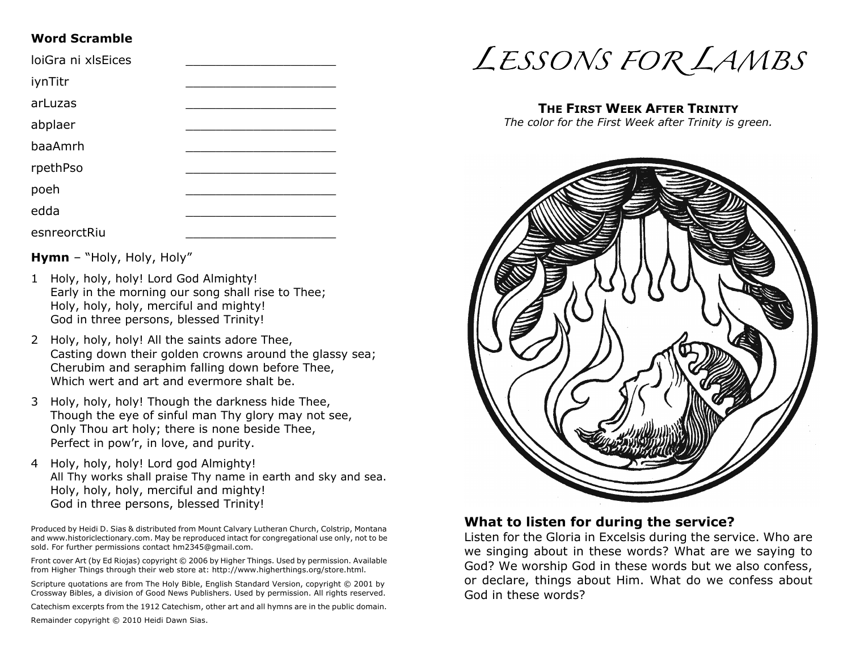#### **Word Scramble**

| loiGra ni xlsEices |  |
|--------------------|--|
| iynTitr            |  |
| arLuzas            |  |
| abplaer            |  |
| baaAmrh            |  |
| rpethPso           |  |
| poeh               |  |
| edda               |  |
| esnreorctRiu       |  |

**Hymn** – "Holy, Holy, Holy"

- 1 Holy, holy, holy! Lord God Almighty! Early in the morning our song shall rise to Thee; Holy, holy, holy, merciful and mighty! God in three persons, blessed Trinity!
- 2 Holy, holy, holy! All the saints adore Thee, Casting down their golden crowns around the glassy sea; Cherubim and seraphim falling down before Thee, Which wert and art and evermore shalt be.
- 3 Holy, holy, holy! Though the darkness hide Thee, Though the eye of sinful man Thy glory may not see, Only Thou art holy; there is none beside Thee, Perfect in pow'r, in love, and purity.
- 4 Holy, holy, holy! Lord god Almighty! All Thy works shall praise Thy name in earth and sky and sea. Holy, holy, holy, merciful and mighty! God in three persons, blessed Trinity!

Produced by Heidi D. Sias & distributed from Mount Calvary Lutheran Church, Colstrip, Montana and www.historiclectionary.com. May be reproduced intact for congregational use only, not to be sold. For further permissions contact hm2345@gmail.com.

Front cover Art (by Ed Riojas) copyright © 2006 by Higher Things. Used by permission. Available from Higher Things through their web store at: http://www.higherthings.org/store.html.

Scripture quotations are from The Holy Bible, English Standard Version, copyright © 2001 by Crossway Bibles, a division of Good News Publishers. Used by permission. All rights reserved.

Catechism excerpts from the 1912 Catechism, other art and all hymns are in the public domain.

Remainder copyright © 2010 Heidi Dawn Sias.



#### **THE FIRST WEEK AFTER TRINITY**

*The color for the First Week after Trinity is green.*



#### **What to listen for during the service?**

Listen for the Gloria in Excelsis during the service. Who are we singing about in these words? What are we saying to God? We worship God in these words but we also confess, or declare, things about Him. What do we confess about God in these words?